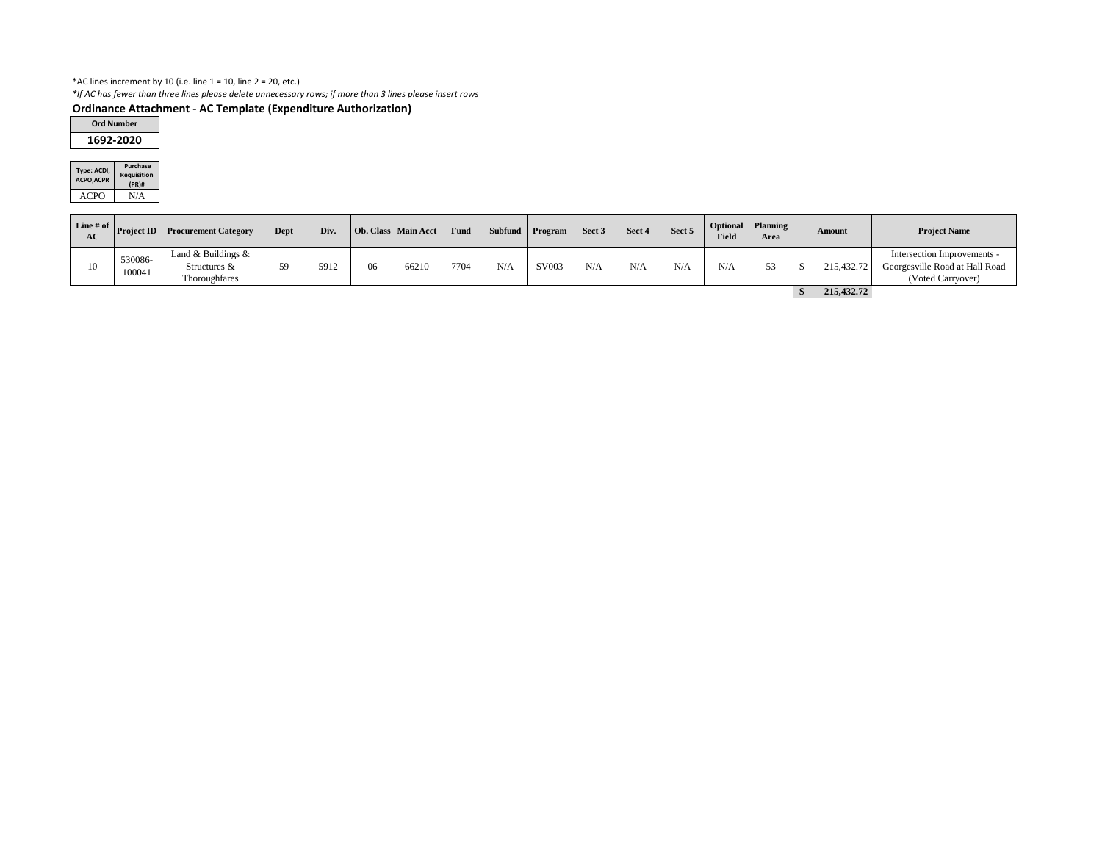## \*AC lines increment by 10 (i.e. line  $1 = 10$ , line  $2 = 20$ , etc.)

*\*If AC has fewer than three lines please delete unnecessary rows; if more than 3 lines please insert rows*

# **Ordinance Attachment - AC Template (Expenditure Authorization)**

| Type: ACDI,<br><b>ACPO, ACPR</b> | <b>Purchase</b><br><b>Requisition</b><br>(PR)# |
|----------------------------------|------------------------------------------------|
| ACPI()                           | N/A                                            |

| Line # of $\vert$ ,<br>AC | <b>Project ID</b> | <b>Procurement Category</b>                               | <b>Dept</b> | Div. |    | Ob. Class   Main Acct | Fund |     | Subfund Program | Sect 3 | Sect 4 | Sect 5 | Field | Optional   Planning  <br>Area | Amount |            | <b>Project Name</b>                                                                |  |
|---------------------------|-------------------|-----------------------------------------------------------|-------------|------|----|-----------------------|------|-----|-----------------|--------|--------|--------|-------|-------------------------------|--------|------------|------------------------------------------------------------------------------------|--|
| 10                        | 530086-<br>100041 | Land & Buildings $\&$<br>Structures $\&$<br>Thoroughfares | 59.         | 5912 | 06 | 66210                 | 7704 | N/A | SV003           | N/A    | N/A    | N/A    | N/4   |                               |        | 215,432.72 | Intersection Improvements -<br>Georgesville Road at Hall Road<br>(Voted Carryover) |  |
|                           |                   |                                                           |             |      |    |                       |      |     |                 |        |        |        |       |                               |        | 215,432.72 |                                                                                    |  |

| <b>Ord Number</b> |  |
|-------------------|--|
| 1692-2020         |  |